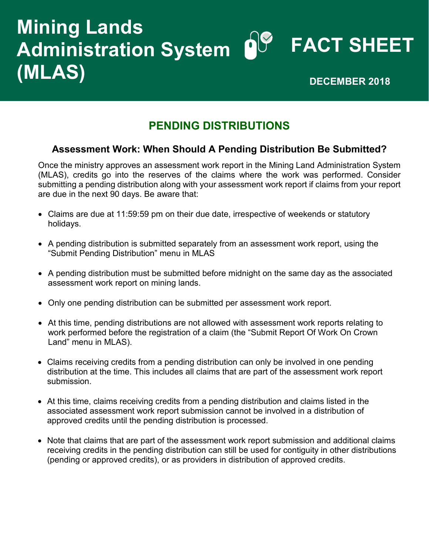## **Mining Lands<br>Administration System OV FACT SHEET Administration System (MLAS) DECEMBER 2018**

## **PENDING DISTRIBUTIONS**

## **Assessment Work: When Should A Pending Distribution Be Submitted?**

Once the ministry approves an assessment work report in the Mining Land Administration System (MLAS), credits go into the reserves of the claims where the work was performed. Consider submitting a pending distribution along with your assessment work report if claims from your report are due in the next 90 days. Be aware that:

- Claims are due at 11:59:59 pm on their due date, irrespective of weekends or statutory holidays.
- A pending distribution is submitted separately from an assessment work report, using the "Submit Pending Distribution" menu in MLAS
- A pending distribution must be submitted before midnight on the same day as the associated assessment work report on mining lands.
- Only one pending distribution can be submitted per assessment work report.
- At this time, pending distributions are not allowed with assessment work reports relating to work performed before the registration of a claim (the "Submit Report Of Work On Crown Land" menu in MLAS).
- Claims receiving credits from a pending distribution can only be involved in one pending distribution at the time. This includes all claims that are part of the assessment work report submission.
- At this time, claims receiving credits from a pending distribution and claims listed in the associated assessment work report submission cannot be involved in a distribution of approved credits until the pending distribution is processed.
- Note that claims that are part of the assessment work report submission and additional claims receiving credits in the pending distribution can still be used for contiguity in other distributions (pending or approved credits), or as providers in distribution of approved credits.